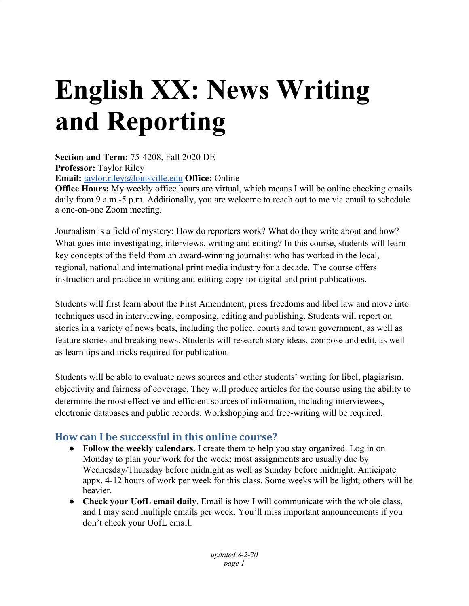# **English XX: News Writing and Reporting**

**Section and Term:** 75-4208, Fall 2020 DE **Professor:** Taylor Riley **Email:** [taylor.riley@louisville.edu](mailto:taylor.riley@louisville.edu) **Office:** Online

**Office Hours:** My weekly office hours are virtual, which means I will be online checking emails daily from 9 a.m.-5 p.m. Additionally, you are welcome to reach out to me via email to schedule a one-on-one Zoom meeting.

Journalism is a field of mystery: How do reporters work? What do they write about and how? What goes into investigating, interviews, writing and editing? In this course, students will learn key concepts of the field from an award-winning journalist who has worked in the local, regional, national and international print media industry for a decade. The course offers instruction and practice in writing and editing copy for digital and print publications.

Students will first learn about the First Amendment, press freedoms and libel law and move into techniques used in interviewing, composing, editing and publishing. Students will report on stories in a variety of news beats, including the police, courts and town government, as well as feature stories and breaking news. Students will research story ideas, compose and edit, as well as learn tips and tricks required for publication.

Students will be able to evaluate news sources and other students' writing for libel, plagiarism, objectivity and fairness of coverage. They will produce articles for the course using the ability to determine the most effective and efficient sources of information, including interviewees, electronic databases and public records. Workshopping and free-writing will be required.

# **How can I be successful in this online course?**

- **● Follow the weekly calendars.** I create them to help you stay organized. Log in on Monday to plan your work for the week; most assignments are usually due by Wednesday/Thursday before midnight as well as Sunday before midnight. Anticipate appx. 4-12 hours of work per week for this class. Some weeks will be light; others will be heavier.
- **● Check your UofL email daily**. Email is how I will communicate with the whole class, and I may send multiple emails per week. You'll miss important announcements if you don't check your UofL email.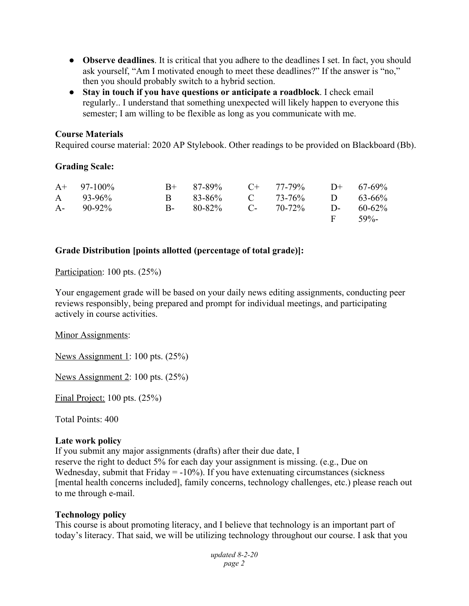- **● Observe deadlines**. It is critical that you adhere to the deadlines I set. In fact, you should ask yourself, "Am I motivated enough to meet these deadlines?" If the answer is "no," then you should probably switch to a hybrid section.
- **● Stay in touch if you have questions or anticipate a roadblock**. I check email regularly.. I understand that something unexpected will likely happen to everyone this semester; I am willing to be flexible as long as you communicate with me.

#### **Course Materials**

Required course material: 2020 AP Stylebook. Other readings to be provided on Blackboard (Bb).

#### **Grading Scale:**

| $A+ 97-100\%$ | $B+$ 87-89% C+ 77-79% D+ 67-69%        |  |            |
|---------------|----------------------------------------|--|------------|
| A $93-96\%$   | B 83-86% C 73-76% D 63-66%             |  |            |
| $A - 90-92\%$ | B- $80-82\%$ C- $70-72\%$ D- $60-62\%$ |  |            |
|               |                                        |  | F $59\%$ - |

#### **Grade Distribution [points allotted (percentage of total grade)]:**

#### Participation: 100 pts. (25%)

Your engagement grade will be based on your daily news editing assignments, conducting peer reviews responsibly, being prepared and prompt for individual meetings, and participating actively in course activities.

#### Minor Assignments:

News Assignment 1: 100 pts. (25%)

News Assignment 2: 100 pts. (25%)

Final Project: 100 pts. (25%)

Total Points: 400

#### **Late work policy**

If you submit any major assignments (drafts) after their due date, I

reserve the right to deduct 5% for each day your assignment is missing. (e.g., Due on Wednesday, submit that Friday  $= -10\%$ ). If you have extenuating circumstances (sickness [mental health concerns included], family concerns, technology challenges, etc.) please reach out to me through e-mail.

#### **Technology policy**

This course is about promoting literacy, and I believe that technology is an important part of today's literacy. That said, we will be utilizing technology throughout our course. I ask that you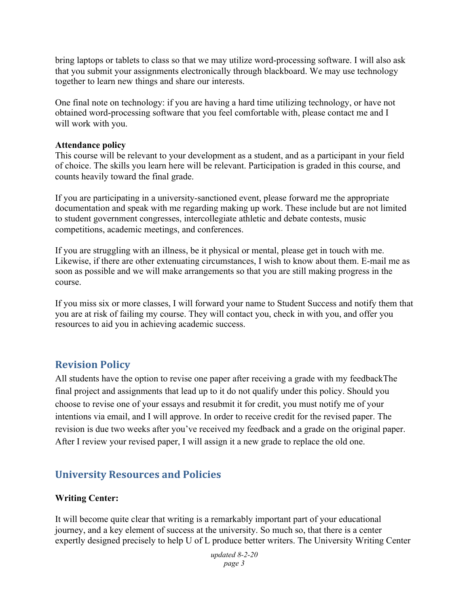bring laptops or tablets to class so that we may utilize word-processing software. I will also ask that you submit your assignments electronically through blackboard. We may use technology together to learn new things and share our interests.

One final note on technology: if you are having a hard time utilizing technology, or have not obtained word-processing software that you feel comfortable with, please contact me and I will work with you.

#### **Attendance policy**

This course will be relevant to your development as a student, and as a participant in your field of choice. The skills you learn here will be relevant. Participation is graded in this course, and counts heavily toward the final grade.

If you are participating in a university-sanctioned event, please forward me the appropriate documentation and speak with me regarding making up work. These include but are not limited to student government congresses, intercollegiate athletic and debate contests, music competitions, academic meetings, and conferences.

If you are struggling with an illness, be it physical or mental, please get in touch with me. Likewise, if there are other extenuating circumstances, I wish to know about them. E-mail me as soon as possible and we will make arrangements so that you are still making progress in the course.

If you miss six or more classes, I will forward your name to Student Success and notify them that you are at risk of failing my course. They will contact you, check in with you, and offer you resources to aid you in achieving academic success.

# **Revision Policy**

All students have the option to revise one paper after receiving a grade with my feedbackThe final project and assignments that lead up to it do not qualify under this policy. Should you choose to revise one of your essays and resubmit it for credit, you must notify me of your intentions via email, and I will approve. In order to receive credit for the revised paper. The revision is due two weeks after you've received my feedback and a grade on the original paper. After I review your revised paper, I will assign it a new grade to replace the old one.

# **University Resources and Policies**

#### **Writing Center:**

It will become quite clear that writing is a remarkably important part of your educational journey, and a key element of success at the university. So much so, that there is a center expertly designed precisely to help U of L produce better writers. The University Writing Center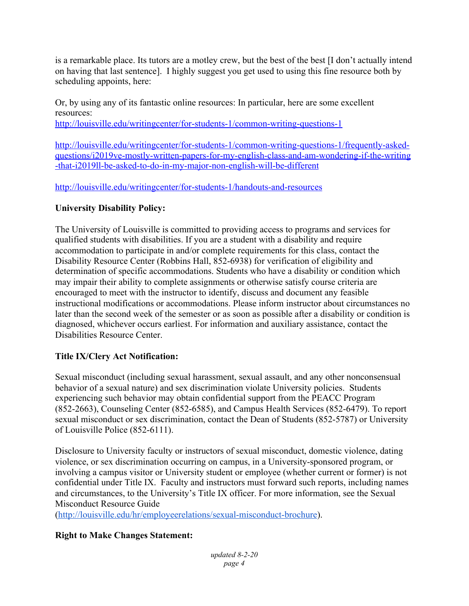is a remarkable place. Its tutors are a motley crew, but the best of the best [I don't actually intend on having that last sentence]. I highly suggest you get used to using this fine resource both by scheduling appoints, here:

Or, by using any of its fantastic online resources: In particular, here are some excellent resources:

<http://louisville.edu/writingcenter/for-students-1/common-writing-questions-1>

[http://louisville.edu/writingcenter/for-students-1/common-writing-questions-1/frequently-asked](http://louisville.edu/writingcenter/for-students-1/common-writing-questions-1/frequently-asked-questions/i2019ve-mostly-written-papers-for-my-english-class-and-am-wondering-if-the-writing-that-i2019ll-be-asked-to-do-in-my-major-non-english-will-be-different)[questions/i2019ve-mostly-written-papers-for-my-english-class-and-am-wondering-if-the-writing](http://louisville.edu/writingcenter/for-students-1/common-writing-questions-1/frequently-asked-questions/i2019ve-mostly-written-papers-for-my-english-class-and-am-wondering-if-the-writing-that-i2019ll-be-asked-to-do-in-my-major-non-english-will-be-different) [-that-i2019ll-be-asked-to-do-in-my-major-non-english-will-be-different](http://louisville.edu/writingcenter/for-students-1/common-writing-questions-1/frequently-asked-questions/i2019ve-mostly-written-papers-for-my-english-class-and-am-wondering-if-the-writing-that-i2019ll-be-asked-to-do-in-my-major-non-english-will-be-different)

<http://louisville.edu/writingcenter/for-students-1/handouts-and-resources>

# **University Disability Policy:**

The University of Louisville is committed to providing access to programs and services for qualified students with disabilities. If you are a student with a disability and require accommodation to participate in and/or complete requirements for this class, contact the Disability Resource Center (Robbins Hall, 852-6938) for verification of eligibility and determination of specific accommodations. Students who have a disability or condition which may impair their ability to complete assignments or otherwise satisfy course criteria are encouraged to meet with the instructor to identify, discuss and document any feasible instructional modifications or accommodations. Please inform instructor about circumstances no later than the second week of the semester or as soon as possible after a disability or condition is diagnosed, whichever occurs earliest. For information and auxiliary assistance, contact the Disabilities Resource Center.

# **Title IX/Clery Act Notification:**

Sexual misconduct (including sexual harassment, sexual assault, and any other nonconsensual behavior of a sexual nature) and sex discrimination violate University policies. Students experiencing such behavior may obtain confidential support from the PEACC Program (852-2663), Counseling Center (852-6585), and Campus Health Services (852-6479). To report sexual misconduct or sex discrimination, contact the Dean of Students (852-5787) or University of Louisville Police (852-6111).

Disclosure to University faculty or instructors of sexual misconduct, domestic violence, dating violence, or sex discrimination occurring on campus, in a University-sponsored program, or involving a campus visitor or University student or employee (whether current or former) is not confidential under Title IX. Faculty and instructors must forward such reports, including names and circumstances, to the University's Title IX officer. For more information, see the Sexual Misconduct Resource Guide

(<http://louisville.edu/hr/employeerelations/sexual-misconduct-brochure>).

# **Right to Make Changes Statement:**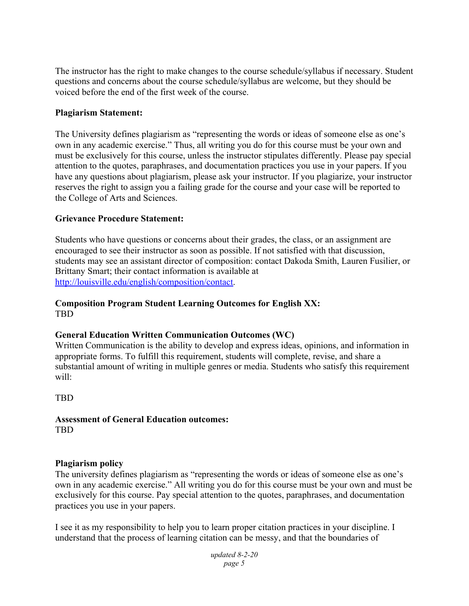The instructor has the right to make changes to the course schedule/syllabus if necessary. Student questions and concerns about the course schedule/syllabus are welcome, but they should be voiced before the end of the first week of the course.

#### **Plagiarism Statement:**

The University defines plagiarism as "representing the words or ideas of someone else as one's own in any academic exercise." Thus, all writing you do for this course must be your own and must be exclusively for this course, unless the instructor stipulates differently. Please pay special attention to the quotes, paraphrases, and documentation practices you use in your papers. If you have any questions about plagiarism, please ask your instructor. If you plagiarize, your instructor reserves the right to assign you a failing grade for the course and your case will be reported to the College of Arts and Sciences.

#### **Grievance Procedure Statement:**

Students who have questions or concerns about their grades, the class, or an assignment are encouraged to see their instructor as soon as possible. If not satisfied with that discussion, students may see an assistant director of composition: contact Dakoda Smith, Lauren Fusilier, or Brittany Smart; their contact information is available at <http://louisville.edu/english/composition/contact>.

#### **Composition Program Student Learning Outcomes for English XX:** TBD

#### **General Education Written Communication Outcomes (WC)**

Written Communication is the ability to develop and express ideas, opinions, and information in appropriate forms. To fulfill this requirement, students will complete, revise, and share a substantial amount of writing in multiple genres or media. Students who satisfy this requirement will:

TBD

#### **Assessment of General Education outcomes:** TBD

#### **Plagiarism policy**

The university defines plagiarism as "representing the words or ideas of someone else as one's own in any academic exercise." All writing you do for this course must be your own and must be exclusively for this course. Pay special attention to the quotes, paraphrases, and documentation practices you use in your papers.

I see it as my responsibility to help you to learn proper citation practices in your discipline. I understand that the process of learning citation can be messy, and that the boundaries of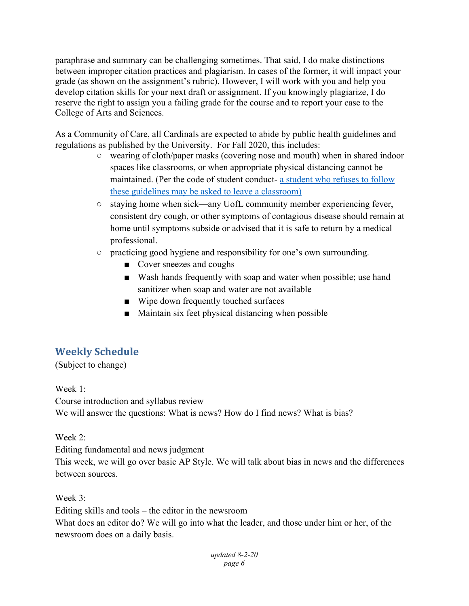paraphrase and summary can be challenging sometimes. That said, I do make distinctions between improper citation practices and plagiarism. In cases of the former, it will impact your grade (as shown on the assignment's rubric). However, I will work with you and help you develop citation skills for your next draft or assignment. If you knowingly plagiarize, I do reserve the right to assign you a failing grade for the course and to report your case to the College of Arts and Sciences.

As a Community of Care, all Cardinals are expected to abide by public health guidelines and regulations as published by the University. For Fall 2020, this includes:

- wearing of cloth/paper masks (covering nose and mouth) when in shared indoor spaces like classrooms, or when appropriate physical distancing cannot be maintained. (Per the code of student conduct- a student who refuses to follow these guidelines may be asked to leave a classroom)
- staying home when sick—any UofL community member experiencing fever, consistent dry cough, or other symptoms of contagious disease should remain at home until symptoms subside or advised that it is safe to return by a medical professional.
- practicing good hygiene and responsibility for one's own surrounding.
	- Cover sneezes and coughs
	- Wash hands frequently with soap and water when possible; use hand sanitizer when soap and water are not available
	- Wipe down frequently touched surfaces
	- Maintain six feet physical distancing when possible

# **Weekly Schedule**

(Subject to change)

Week 1:

Course introduction and syllabus review We will answer the questions: What is news? How do I find news? What is bias?

Week 2:

Editing fundamental and news judgment

This week, we will go over basic AP Style. We will talk about bias in news and the differences between sources.

Week 3:

Editing skills and tools – the editor in the newsroom What does an editor do? We will go into what the leader, and those under him or her, of the newsroom does on a daily basis.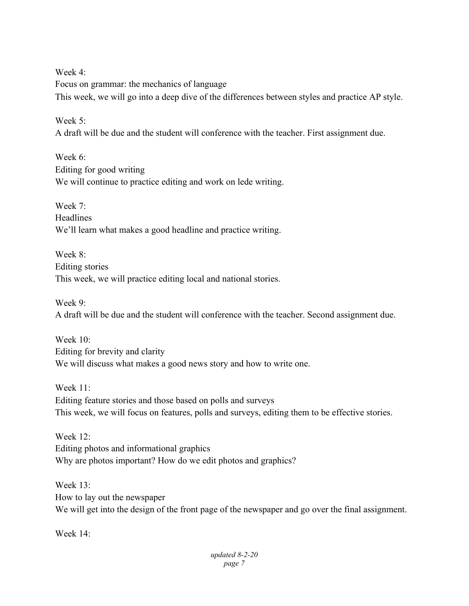Week 4:

Focus on grammar: the mechanics of language This week, we will go into a deep dive of the differences between styles and practice AP style.

Week 5<sup>.</sup>

A draft will be due and the student will conference with the teacher. First assignment due.

Week 6: Editing for good writing We will continue to practice editing and work on lede writing.

Week 7: Headlines We'll learn what makes a good headline and practice writing.

Week 8: Editing stories This week, we will practice editing local and national stories.

Week 9:

A draft will be due and the student will conference with the teacher. Second assignment due.

Week  $10<sup>°</sup>$ Editing for brevity and clarity We will discuss what makes a good news story and how to write one.

Week 11: Editing feature stories and those based on polls and surveys This week, we will focus on features, polls and surveys, editing them to be effective stories.

Week 12: Editing photos and informational graphics Why are photos important? How do we edit photos and graphics?

Week 13: How to lay out the newspaper We will get into the design of the front page of the newspaper and go over the final assignment.

Week 14: